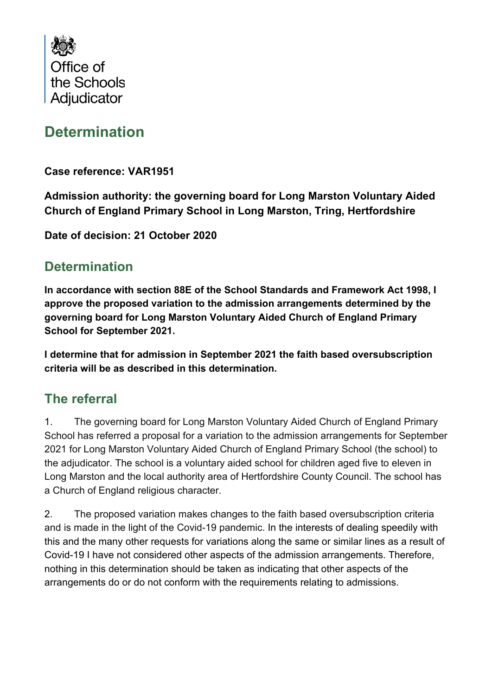

# **Determination**

**Case reference: VAR1951**

**Admission authority: the governing board for Long Marston Voluntary Aided Church of England Primary School in Long Marston, Tring, Hertfordshire**

**Date of decision: 21 October 2020**

#### **Determination**

**In accordance with section 88E of the School Standards and Framework Act 1998, I approve the proposed variation to the admission arrangements determined by the governing board for Long Marston Voluntary Aided Church of England Primary School for September 2021.**

**I determine that for admission in September 2021 the faith based oversubscription criteria will be as described in this determination.**

#### **The referral**

1. The governing board for Long Marston Voluntary Aided Church of England Primary School has referred a proposal for a variation to the admission arrangements for September 2021 for Long Marston Voluntary Aided Church of England Primary School (the school) to the adjudicator. The school is a voluntary aided school for children aged five to eleven in Long Marston and the local authority area of Hertfordshire County Council. The school has a Church of England religious character.

2. The proposed variation makes changes to the faith based oversubscription criteria and is made in the light of the Covid-19 pandemic. In the interests of dealing speedily with this and the many other requests for variations along the same or similar lines as a result of Covid-19 I have not considered other aspects of the admission arrangements. Therefore, nothing in this determination should be taken as indicating that other aspects of the arrangements do or do not conform with the requirements relating to admissions.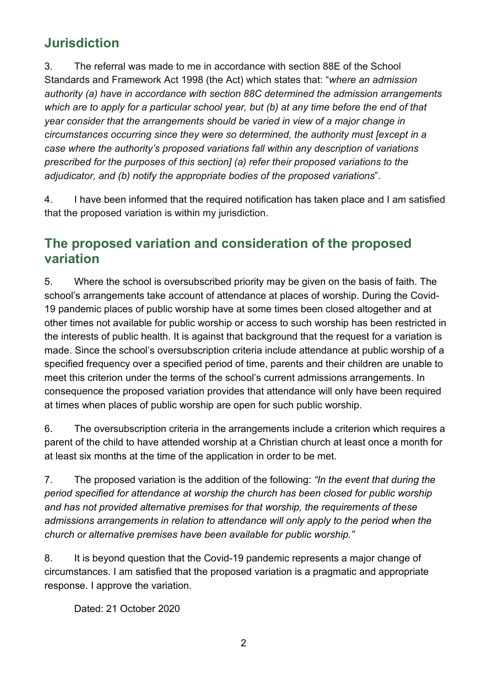## **Jurisdiction**

3. The referral was made to me in accordance with section 88E of the School Standards and Framework Act 1998 (the Act) which states that: "*where an admission authority (a) have in accordance with section 88C determined the admission arrangements which are to apply for a particular school year, but (b) at any time before the end of that year consider that the arrangements should be varied in view of a major change in circumstances occurring since they were so determined, the authority must [except in a case where the authority's proposed variations fall within any description of variations prescribed for the purposes of this section] (a) refer their proposed variations to the adjudicator, and (b) notify the appropriate bodies of the proposed variations*".

4. I have been informed that the required notification has taken place and I am satisfied that the proposed variation is within my jurisdiction.

### **The proposed variation and consideration of the proposed variation**

5. Where the school is oversubscribed priority may be given on the basis of faith. The school's arrangements take account of attendance at places of worship. During the Covid-19 pandemic places of public worship have at some times been closed altogether and at other times not available for public worship or access to such worship has been restricted in the interests of public health. It is against that background that the request for a variation is made. Since the school's oversubscription criteria include attendance at public worship of a specified frequency over a specified period of time, parents and their children are unable to meet this criterion under the terms of the school's current admissions arrangements. In consequence the proposed variation provides that attendance will only have been required at times when places of public worship are open for such public worship.

6. The oversubscription criteria in the arrangements include a criterion which requires a parent of the child to have attended worship at a Christian church at least once a month for at least six months at the time of the application in order to be met.

7. The proposed variation is the addition of the following: *"In the event that during the period specified for attendance at worship the church has been closed for public worship and has not provided alternative premises for that worship, the requirements of these admissions arrangements in relation to attendance will only apply to the period when the church or alternative premises have been available for public worship."*

8. It is beyond question that the Covid-19 pandemic represents a major change of circumstances. I am satisfied that the proposed variation is a pragmatic and appropriate response. I approve the variation.

Dated: 21 October 2020